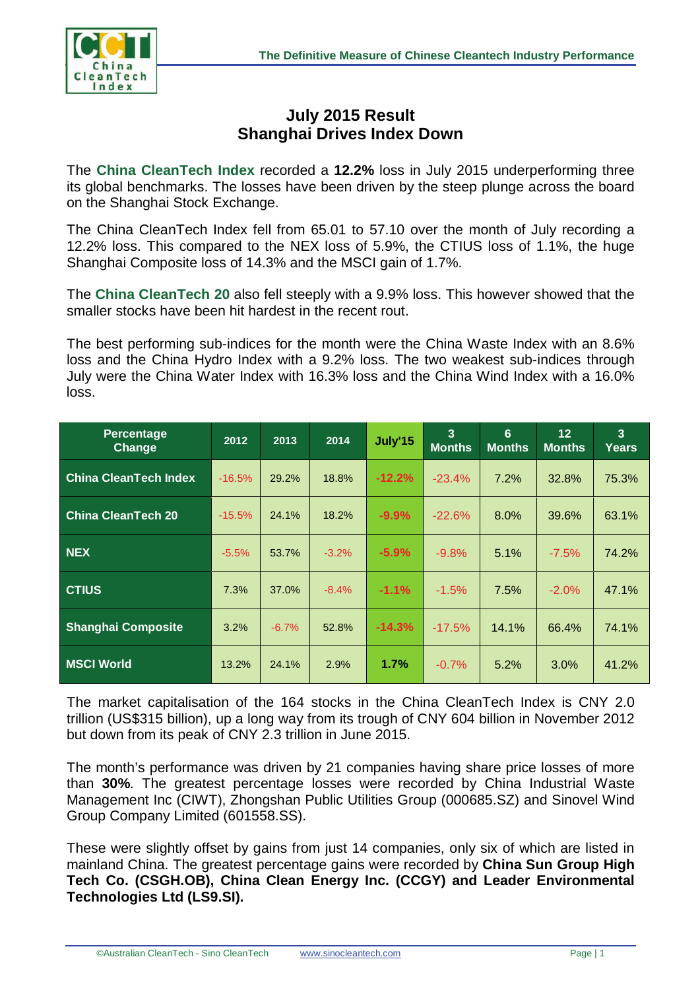

## **July 2015 Result Shanghai Drives Index Down**

The **China CleanTech Index** recorded a **12.2%** loss in July 2015 underperforming three its global benchmarks. The losses have been driven by the steep plunge across the board on the Shanghai Stock Exchange.

The China CleanTech Index fell from 65.01 to 57.10 over the month of July recording a 12.2% loss. This compared to the NEX loss of 5.9%, the CTIUS loss of 1.1%, the huge Shanghai Composite loss of 14.3% and the MSCI gain of 1.7%.

The **China CleanTech 20** also fell steeply with a 9.9% loss. This however showed that the smaller stocks have been hit hardest in the recent rout.

The best performing sub-indices for the month were the China Waste Index with an 8.6% loss and the China Hydro Index with a 9.2% loss. The two weakest sub-indices through July were the China Water Index with 16.3% loss and the China Wind Index with a 16.0% loss.

| <b>Percentage</b><br><b>Change</b> | 2012     | 2013    | 2014    | July'15  | $\overline{3}$<br><b>Months</b> | 6<br><b>Months</b> | 12 <sub>2</sub><br><b>Months</b> | $\overline{3}$<br>Years |
|------------------------------------|----------|---------|---------|----------|---------------------------------|--------------------|----------------------------------|-------------------------|
| <b>China CleanTech Index</b>       | $-16.5%$ | 29.2%   | 18.8%   | $-12.2%$ | $-23.4%$                        | 7.2%               | 32.8%                            | 75.3%                   |
| <b>China CleanTech 20</b>          | $-15.5%$ | 24.1%   | 18.2%   | $-9.9%$  | $-22.6%$                        | 8.0%               | 39.6%                            | 63.1%                   |
| <b>NEX</b>                         | $-5.5%$  | 53.7%   | $-3.2%$ | $-5.9\%$ | $-9.8%$                         | 5.1%               | $-7.5%$                          | 74.2%                   |
| <b>CTIUS</b>                       | 7.3%     | 37.0%   | $-8.4%$ | $-1.1%$  | $-1.5%$                         | 7.5%               | $-2.0%$                          | 47.1%                   |
| <b>Shanghai Composite</b>          | 3.2%     | $-6.7%$ | 52.8%   | $-14.3%$ | $-17.5%$                        | 14.1%              | 66.4%                            | 74.1%                   |
| <b>MSCI World</b>                  | 13.2%    | 24.1%   | 2.9%    | 1.7%     | $-0.7%$                         | 5.2%               | 3.0%                             | 41.2%                   |

The market capitalisation of the 164 stocks in the China CleanTech Index is CNY 2.0 trillion (US\$315 billion), up a long way from its trough of CNY 604 billion in November 2012 but down from its peak of CNY 2.3 trillion in June 2015.

The month's performance was driven by 21 companies having share price losses of more than **30%**. The greatest percentage losses were recorded by China Industrial Waste Management Inc (CIWT), Zhongshan Public Utilities Group (000685.SZ) and Sinovel Wind Group Company Limited (601558.SS).

These were slightly offset by gains from just 14 companies, only six of which are listed in mainland China. The greatest percentage gains were recorded by **China Sun Group High Tech Co. (CSGH.OB), China Clean Energy Inc. (CCGY) and Leader Environmental Technologies Ltd (LS9.SI).**